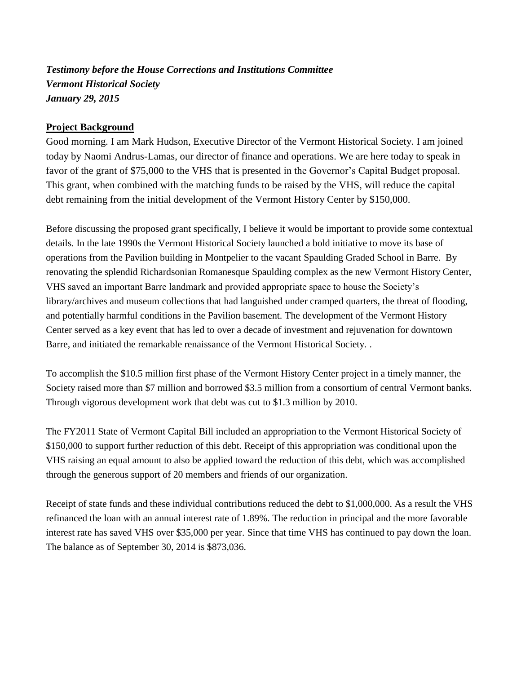*Testimony before the House Corrections and Institutions Committee Vermont Historical Society January 29, 2015*

## **Project Background**

Good morning. I am Mark Hudson, Executive Director of the Vermont Historical Society. I am joined today by Naomi Andrus-Lamas, our director of finance and operations. We are here today to speak in favor of the grant of \$75,000 to the VHS that is presented in the Governor's Capital Budget proposal. This grant, when combined with the matching funds to be raised by the VHS, will reduce the capital debt remaining from the initial development of the Vermont History Center by \$150,000.

Before discussing the proposed grant specifically, I believe it would be important to provide some contextual details. In the late 1990s the Vermont Historical Society launched a bold initiative to move its base of operations from the Pavilion building in Montpelier to the vacant Spaulding Graded School in Barre. By renovating the splendid Richardsonian Romanesque Spaulding complex as the new Vermont History Center, VHS saved an important Barre landmark and provided appropriate space to house the Society's library/archives and museum collections that had languished under cramped quarters, the threat of flooding, and potentially harmful conditions in the Pavilion basement. The development of the Vermont History Center served as a key event that has led to over a decade of investment and rejuvenation for downtown Barre, and initiated the remarkable renaissance of the Vermont Historical Society. .

To accomplish the \$10.5 million first phase of the Vermont History Center project in a timely manner, the Society raised more than \$7 million and borrowed \$3.5 million from a consortium of central Vermont banks. Through vigorous development work that debt was cut to \$1.3 million by 2010.

The FY2011 State of Vermont Capital Bill included an appropriation to the Vermont Historical Society of \$150,000 to support further reduction of this debt. Receipt of this appropriation was conditional upon the VHS raising an equal amount to also be applied toward the reduction of this debt, which was accomplished through the generous support of 20 members and friends of our organization.

Receipt of state funds and these individual contributions reduced the debt to \$1,000,000. As a result the VHS refinanced the loan with an annual interest rate of 1.89%. The reduction in principal and the more favorable interest rate has saved VHS over \$35,000 per year. Since that time VHS has continued to pay down the loan. The balance as of September 30, 2014 is \$873,036.